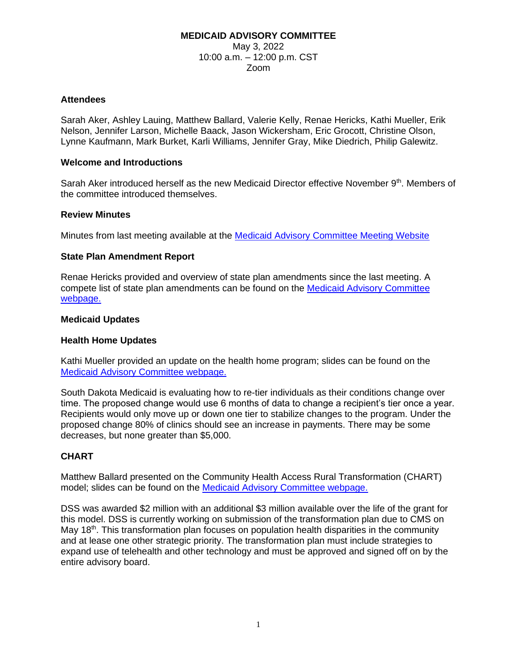### **MEDICAID ADVISORY COMMITTEE** May 3, 2022 10:00 a.m. – 12:00 p.m. CST Zoom

### **Attendees**

Sarah Aker, Ashley Lauing, Matthew Ballard, Valerie Kelly, Renae Hericks, Kathi Mueller, Erik Nelson, Jennifer Larson, Michelle Baack, Jason Wickersham, Eric Grocott, Christine Olson, Lynne Kaufmann, Mark Burket, Karli Williams, Jennifer Gray, Mike Diedrich, Philip Galewitz.

#### **Welcome and Introductions**

Sarah Aker introduced herself as the new Medicaid Director effective November 9<sup>th</sup>. Members of the committee introduced themselves.

#### **Review Minutes**

Minutes from last meeting available at the [Medicaid Advisory Committee Meeting Website](https://dss.sd.gov/medicaid/mac.aspx)

#### **State Plan Amendment Report**

Renae Hericks provided and overview of state plan amendments since the last meeting. A compete list of state plan amendments can be found on the [Medicaid Advisory Committee](https://dss.sd.gov/medicaid/mac.aspx)  [webpage.](https://dss.sd.gov/medicaid/mac.aspx)

#### **Medicaid Updates**

#### **Health Home Updates**

Kathi Mueller provided an update on the health home program; slides can be found on the [Medicaid Advisory Committee webpage.](https://dss.sd.gov/medicaid/mac.aspx)

South Dakota Medicaid is evaluating how to re-tier individuals as their conditions change over time. The proposed change would use 6 months of data to change a recipient's tier once a year. Recipients would only move up or down one tier to stabilize changes to the program. Under the proposed change 80% of clinics should see an increase in payments. There may be some decreases, but none greater than \$5,000.

## **CHART**

Matthew Ballard presented on the Community Health Access Rural Transformation (CHART) model; slides can be found on the [Medicaid Advisory Committee webpage.](https://dss.sd.gov/medicaid/mac.aspx)

DSS was awarded \$2 million with an additional \$3 million available over the life of the grant for this model. DSS is currently working on submission of the transformation plan due to CMS on May 18<sup>th</sup>. This transformation plan focuses on population health disparities in the community and at lease one other strategic priority. The transformation plan must include strategies to expand use of telehealth and other technology and must be approved and signed off on by the entire advisory board.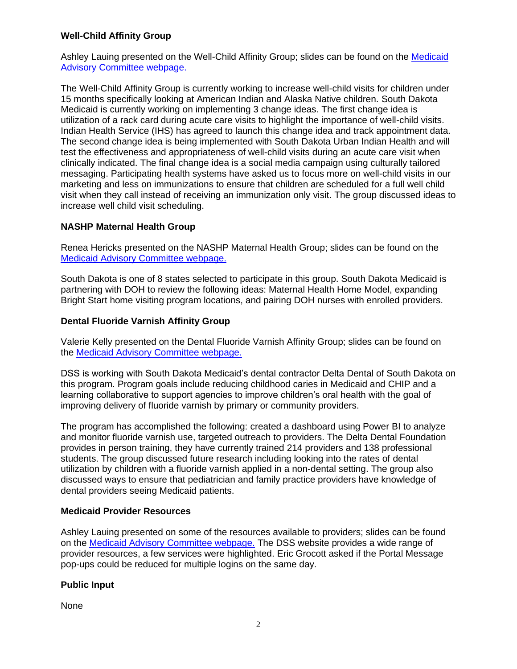## **Well-Child Affinity Group**

Ashley Lauing presented on the Well-Child Affinity Group; slides can be found on the [Medicaid](https://dss.sd.gov/medicaid/mac.aspx)  [Advisory Committee webpage.](https://dss.sd.gov/medicaid/mac.aspx)

The Well-Child Affinity Group is currently working to increase well-child visits for children under 15 months specifically looking at American Indian and Alaska Native children. South Dakota Medicaid is currently working on implementing 3 change ideas. The first change idea is utilization of a rack card during acute care visits to highlight the importance of well-child visits. Indian Health Service (IHS) has agreed to launch this change idea and track appointment data. The second change idea is being implemented with South Dakota Urban Indian Health and will test the effectiveness and appropriateness of well-child visits during an acute care visit when clinically indicated. The final change idea is a social media campaign using culturally tailored messaging. Participating health systems have asked us to focus more on well-child visits in our marketing and less on immunizations to ensure that children are scheduled for a full well child visit when they call instead of receiving an immunization only visit. The group discussed ideas to increase well child visit scheduling.

# **NASHP Maternal Health Group**

Renea Hericks presented on the NASHP Maternal Health Group; slides can be found on the [Medicaid Advisory Committee webpage.](https://dss.sd.gov/medicaid/mac.aspx)

South Dakota is one of 8 states selected to participate in this group. South Dakota Medicaid is partnering with DOH to review the following ideas: Maternal Health Home Model, expanding Bright Start home visiting program locations, and pairing DOH nurses with enrolled providers.

# **Dental Fluoride Varnish Affinity Group**

Valerie Kelly presented on the Dental Fluoride Varnish Affinity Group; slides can be found on the [Medicaid Advisory Committee webpage.](https://dss.sd.gov/medicaid/mac.aspx)

DSS is working with South Dakota Medicaid's dental contractor Delta Dental of South Dakota on this program. Program goals include reducing childhood caries in Medicaid and CHIP and a learning collaborative to support agencies to improve children's oral health with the goal of improving delivery of fluoride varnish by primary or community providers.

The program has accomplished the following: created a dashboard using Power BI to analyze and monitor fluoride varnish use, targeted outreach to providers. The Delta Dental Foundation provides in person training, they have currently trained 214 providers and 138 professional students. The group discussed future research including looking into the rates of dental utilization by children with a fluoride varnish applied in a non-dental setting. The group also discussed ways to ensure that pediatrician and family practice providers have knowledge of dental providers seeing Medicaid patients.

## **Medicaid Provider Resources**

Ashley Lauing presented on some of the resources available to providers; slides can be found on the [Medicaid Advisory Committee webpage.](https://dss.sd.gov/medicaid/mac.aspx) The DSS website provides a wide range of provider resources, a few services were highlighted. Eric Grocott asked if the Portal Message pop-ups could be reduced for multiple logins on the same day.

## **Public Input**

None